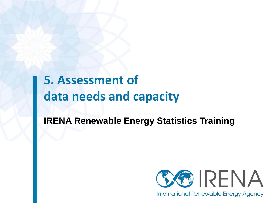# **5. Assessment of data needs and capacity**

#### **IRENA Renewable Energy Statistics Training**



**International Renewable Energy Agency**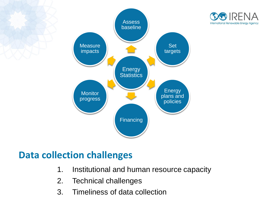



#### **Data collection challenges**

- 1. Institutional and human resource capacity
- 2. Technical challenges
- 3. Timeliness of data collection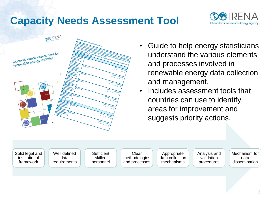#### **Capacity Needs Assessment Tool**





- Guide to help energy statisticians understand the various elements and processes involved in renewable energy data collection and management.
- Includes assessment tools that countries can use to identify areas for improvement and suggests priority actions.

Solid legal and institutional framework

Well defined data requirements

Sufficient skilled personnel

**Clear** methodologies and processes

Appropriate data collection mechanisms

Analysis and validation procedures

Mechanism for data dissemination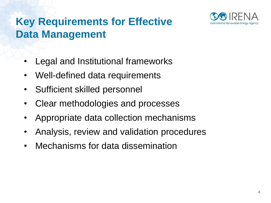

#### **Key Requirements for Effective Data Management**

- Legal and Institutional frameworks
- Well-defined data requirements
- Sufficient skilled personnel
- Clear methodologies and processes
- Appropriate data collection mechanisms
- Analysis, review and validation procedures
- Mechanisms for data dissemination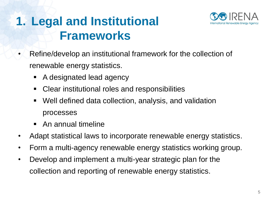

#### **1. Legal and Institutional Frameworks**

- Refine/develop an institutional framework for the collection of renewable energy statistics.
	- A designated lead agency
	- Clear institutional roles and responsibilities
	- Well defined data collection, analysis, and validation processes
	- An annual timeline
- Adapt statistical laws to incorporate renewable energy statistics.
- Form a multi-agency renewable energy statistics working group.
- Develop and implement a multi-year strategic plan for the collection and reporting of renewable energy statistics.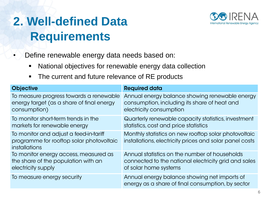

# **2. Well-defined Data Requirements**

- Define renewable energy data needs based on:
	- National objectives for renewable energy data collection
	- The current and future relevance of RE products

| <b>Objective</b>                                                                                    | <b>Required data</b>                                                                                            |  |
|-----------------------------------------------------------------------------------------------------|-----------------------------------------------------------------------------------------------------------------|--|
| To measure progress towards a renewable                                                             | Annual energy balance showing renewable energy                                                                  |  |
| energy target (as a share of final energy                                                           | consumption, including its share of heat and                                                                    |  |
| consumption)                                                                                        | electricity consumption                                                                                         |  |
| To monitor short-term trends in the                                                                 | Quarterly renewable capacity statistics, investment                                                             |  |
| markets for renewable energy                                                                        | statistics, cost and price statistics                                                                           |  |
| To monitor and adjust a feed-in-tariff<br>programme for rooftop solar photovoltaic<br>installations | Monthly statistics on new rooftop solar photovoltaic<br>installations, electricity prices and solar panel costs |  |
| To monitor energy access, measured as                                                               | Annual statistics on the number of households                                                                   |  |
| the share of the population with an                                                                 | connected to the national electricity grid and sales                                                            |  |
| electricity supply                                                                                  | of solar home systems                                                                                           |  |
| To measure energy security                                                                          | Annual energy balance showing net imports of<br>energy as a share of final consumption, by sector               |  |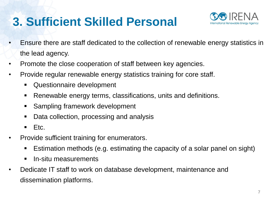# **3. Sufficient Skilled Personal**



- Ensure there are staff dedicated to the collection of renewable energy statistics in the lead agency.
- Promote the close cooperation of staff between key agencies.
- Provide regular renewable energy statistics training for core staff.
	- **Questionnaire development**
	- Renewable energy terms, classifications, units and definitions.
	- **Sampling framework development**
	- Data collection, processing and analysis
	- $E_{\text{t}}$  Etc.
- Provide sufficient training for enumerators.
	- Estimation methods (e.g. estimating the capacity of a solar panel on sight)
	- **In-situ measurements**
- Dedicate IT staff to work on database development, maintenance and dissemination platforms.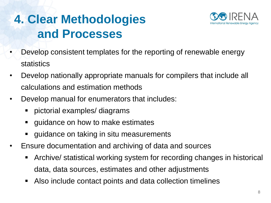# **4. Clear Methodologies and Processes**



- Develop consistent templates for the reporting of renewable energy **statistics**
- Develop nationally appropriate manuals for compilers that include all calculations and estimation methods
- Develop manual for enumerators that includes:
	- pictorial examples/ diagrams
	- guidance on how to make estimates
	- guidance on taking in situ measurements
- Ensure documentation and archiving of data and sources
	- Archive/ statistical working system for recording changes in historical data, data sources, estimates and other adjustments
	- Also include contact points and data collection timelines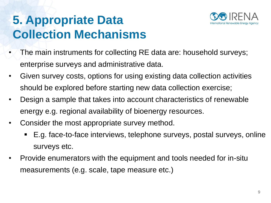

### **5. Appropriate Data Collection Mechanisms**

- The main instruments for collecting RE data are: household surveys; enterprise surveys and administrative data.
- Given survey costs, options for using existing data collection activities should be explored before starting new data collection exercise;
- Design a sample that takes into account characteristics of renewable energy e.g. regional availability of bioenergy resources.
- Consider the most appropriate survey method.
	- E.g. face-to-face interviews, telephone surveys, postal surveys, online surveys etc.
- Provide enumerators with the equipment and tools needed for in-situ measurements (e.g. scale, tape measure etc.)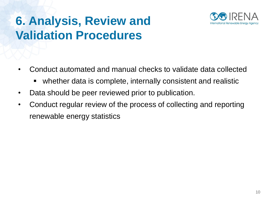

# **6. Analysis, Review and Validation Procedures**

- Conduct automated and manual checks to validate data collected
	- whether data is complete, internally consistent and realistic
- Data should be peer reviewed prior to publication.
- Conduct regular review of the process of collecting and reporting renewable energy statistics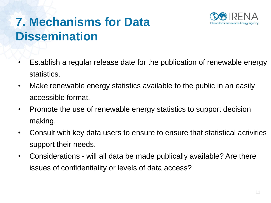

## **7. Mechanisms for Data Dissemination**

- Establish a regular release date for the publication of renewable energy statistics.
- Make renewable energy statistics available to the public in an easily accessible format.
- Promote the use of renewable energy statistics to support decision making.
- Consult with key data users to ensure to ensure that statistical activities support their needs.
- Considerations will all data be made publically available? Are there issues of confidentiality or levels of data access?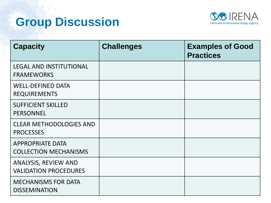# **Group Discussion**



| <b>Capacity</b>                                             | <b>Challenges</b> | <b>Examples of Good</b><br><b>Practices</b> |
|-------------------------------------------------------------|-------------------|---------------------------------------------|
| <b>LEGAL AND INSTITUTIONAL</b><br><b>FRAMEWORKS</b>         |                   |                                             |
| <b>WELL-DEFINED DATA</b><br><b>REQUIREMENTS</b>             |                   |                                             |
| <b>SUFFICIENT SKILLED</b><br><b>PERSONNEL</b>               |                   |                                             |
| <b>CLEAR METHODOLOGIES AND</b><br><b>PROCESSES</b>          |                   |                                             |
| <b>APPROPRIATE DATA</b><br><b>COLLECTION MECHANISMS</b>     |                   |                                             |
| <b>ANALYSIS, REVIEW AND</b><br><b>VALIDATION PROCEDURES</b> |                   |                                             |
| <b>MECHANISMS FOR DATA</b><br><b>DISSEMINATION</b>          |                   |                                             |